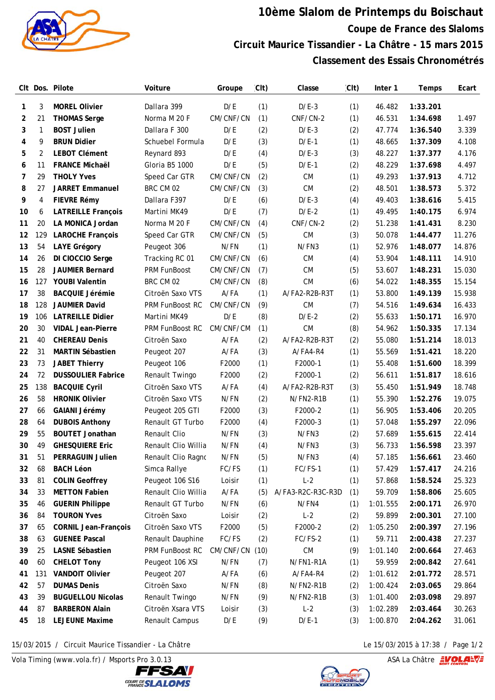

## **10ème Slalom de Printemps du Boischaut Coupe de France des Slaloms Circuit Maurice Tissandier - La Châtre - 15 mars 2015 Classement des Essais Chronométrés**

|    |     | CIt Dos. Pilote             | Voiture             | Groupe    | (Clt) | Classe            | (Clt) | Inter 1  | Temps    | Ecart  |
|----|-----|-----------------------------|---------------------|-----------|-------|-------------------|-------|----------|----------|--------|
| 1  | 3   | <b>MOREL Olivier</b>        | Dallara 399         | D/E       | (1)   | $D/E-3$           | (1)   | 46.482   | 1:33.201 |        |
| 2  | 21  | <b>THOMAS Serge</b>         | Norma M 20 F        | CM/CNF/CN | (1)   | CNF/CN-2          | (1)   | 46.531   | 1:34.698 | 1.497  |
| 3  | 1   | <b>BOST Julien</b>          | Dallara F 300       | D/E       | (2)   | $D/E-3$           | (2)   | 47.774   | 1:36.540 | 3.339  |
| 4  | 9   | <b>BRUN Didier</b>          | Schuebel Formula    | D/E       | (3)   | $D/E-1$           | (1)   | 48.665   | 1:37.309 | 4.108  |
| 5  | 2   | <b>LEBOT Clément</b>        | Reynard 893         | D/E       | (4)   | $D/E-3$           | (3)   | 48.227   | 1:37.377 | 4.176  |
| 6  | 11  | <b>FRANCE Michaël</b>       | Gloria B5 1000      | D/E       | (5)   | $D/E-1$           | (2)   | 48.229   | 1:37.698 | 4.497  |
| 7  | 29  | <b>THOLY Yves</b>           | Speed Car GTR       | CM/CNF/CN | (2)   | CM                | (1)   | 49.293   | 1:37.913 | 4.712  |
| 8  | 27  | <b>JARRET Emmanuel</b>      | BRC CM 02           | CM/CNF/CN | (3)   | <b>CM</b>         | (2)   | 48.501   | 1:38.573 | 5.372  |
| 9  | 4   | FIEVRE Rémy                 | Dallara F397        | D/E       | (6)   | $D/E-3$           | (4)   | 49.403   | 1:38.616 | 5.415  |
| 10 | 6   | <b>LATREILLE François</b>   | Martini MK49        | D/E       | (7)   | $D/E-2$           | (1)   | 49.495   | 1:40.175 | 6.974  |
| 11 | 20  | LA MONICA Jordan            | Norma M 20 F        | CM/CNF/CN | (4)   | CNF/CN-2          | (2)   | 51.238   | 1:41.431 | 8.230  |
| 12 | 129 | <b>LAROCHE François</b>     | Speed Car GTR       | CM/CNF/CN | (5)   | <b>CM</b>         | (3)   | 50.078   | 1:44.477 | 11.276 |
| 13 | 54  | <b>LAYE Grégory</b>         | Peugeot 306         | N/FN      | (1)   | N/FN3             | (1)   | 52.976   | 1:48.077 | 14.876 |
| 14 | 26  | DI CIOCCIO Serge            | Tracking RC 01      | CM/CNF/CN | (6)   | <b>CM</b>         | (4)   | 53.904   | 1:48.111 | 14.910 |
| 15 | 28  | <b>JAUMIER Bernard</b>      | PRM FunBoost        | CM/CNF/CN | (7)   | <b>CM</b>         | (5)   | 53.607   | 1:48.231 | 15.030 |
| 16 | 127 | <b>YOUBI Valentin</b>       | BRC CM 02           | CM/CNF/CN | (8)   | <b>CM</b>         | (6)   | 54.022   | 1:48.355 | 15.154 |
| 17 | 38  | <b>BACQUIE Jérémie</b>      | Citroën Saxo VTS    | A/FA      | (1)   | A/FA2-R2B-R3T     | (1)   | 53.800   | 1:49.139 | 15.938 |
| 18 | 128 | <b>JAUMIER David</b>        | PRM FunBoost RC     | CM/CNF/CN | (9)   | <b>CM</b>         | (7)   | 54.516   | 1:49.634 | 16.433 |
| 19 | 106 | <b>LATREILLE Didier</b>     | Martini MK49        | D/E       | (8)   | $D/E-2$           | (2)   | 55.633   | 1:50.171 | 16.970 |
| 20 | 30  | <b>VIDAL Jean-Pierre</b>    | PRM FunBoost RC     | CM/CNF/CM | (1)   | CM                | (8)   | 54.962   | 1:50.335 | 17.134 |
| 21 | 40  | <b>CHEREAU Denis</b>        | Citroën Saxo        | A/FA      | (2)   | A/FA2-R2B-R3T     | (2)   | 55.080   | 1:51.214 | 18.013 |
| 22 | 31  | <b>MARTIN Sébastien</b>     | Peugeot 207         | A/FA      | (3)   | A/FA4-R4          | (1)   | 55.569   | 1:51.421 | 18.220 |
| 23 | 73  | <b>JABET Thierry</b>        | Peugeot 106         | F2000     | (1)   | F2000-1           | (1)   | 55.408   | 1:51.600 | 18.399 |
| 24 | 72  | <b>DUSSOULIER Fabrice</b>   | Renault Twingo      | F2000     | (2)   | F2000-1           | (2)   | 56.611   | 1:51.817 | 18.616 |
| 25 | 138 | <b>BACQUIE Cyril</b>        | Citroën Saxo VTS    | A/FA      | (4)   | A/FA2-R2B-R3T     | (3)   | 55.450   | 1:51.949 | 18.748 |
| 26 | 58  | <b>HRONIK Olivier</b>       | Citroën Saxo VTS    | N/FN      | (2)   | N/FN2-R1B         | (1)   | 55.390   | 1:52.276 | 19.075 |
| 27 | 66  | <b>GAIANI Jérémy</b>        | Peugeot 205 GTI     | F2000     | (3)   | F2000-2           | (1)   | 56.905   | 1:53.406 | 20.205 |
| 28 | 64  | <b>DUBOIS Anthony</b>       | Renault GT Turbo    | F2000     | (4)   | F2000-3           | (1)   | 57.048   | 1:55.297 | 22.096 |
| 29 | 55  | <b>BOUTET Jonathan</b>      | Renault Clio        | N/FN      | (3)   | N/FN3             | (2)   | 57.689   | 1:55.615 | 22.414 |
| 30 | 49  | <b>GHESQUIERE Eric</b>      | Renault Clio Willia | N/FN      | (4)   | N/FN3             | (3)   | 56.733   | 1:56.598 | 23.397 |
| 31 | 51  | PERRAGUIN Julien            | Renault Clio Ragno  | N/FN      | (5)   | N/FN3             | (4)   | 57.185   | 1:56.661 | 23.460 |
| 32 | 68  | <b>BACH Léon</b>            | Simca Rallye        | FC/FS     | (1)   | FC/FS-1           | (1)   | 57.429   | 1:57.417 | 24.216 |
| 33 | 81  | <b>COLIN Geoffrey</b>       | Peugeot 106 S16     | Loisir    | (1)   | $L-2$             | (1)   | 57.868   | 1:58.524 | 25.323 |
| 34 | 33  | <b>METTON Fabien</b>        | Renault Clio Willia | A/FA      | (5)   | A/FA3-R2C-R3C-R3D | (1)   | 59.709   | 1:58.806 | 25.605 |
| 35 | 46  | <b>GUERIN Philippe</b>      | Renault GT Turbo    | N/FN      | (6)   | N/FN4             | (1)   | 1:01.555 | 2:00.171 | 26.970 |
| 36 | 84  | <b>TOURON Yves</b>          | Citroën Saxo        | Loisir    | (2)   | $L-2$             | (2)   | 59.899   | 2:00.301 | 27.100 |
| 37 | 65  | <b>CORNIL Jean-François</b> | Citroën Saxo VTS    | F2000     | (5)   | F2000-2           | (2)   | 1:05.250 | 2:00.397 | 27.196 |
| 38 | 63  | <b>GUENEE Pascal</b>        | Renault Dauphine    | FC/FS     | (2)   | FC/FS-2           | (1)   | 59.711   | 2:00.438 | 27.237 |
| 39 | 25  | <b>LASNE Sébastien</b>      | PRM FunBoost RC     | CM/CNF/CN | (10)  | CM                | (9)   | 1:01.140 | 2:00.664 | 27.463 |
| 40 | 60  | <b>CHELOT Tony</b>          | Peugeot 106 XSI     | N/FN      | (7)   | N/FN1-R1A         | (1)   | 59.959   | 2:00.842 | 27.641 |
| 41 | 131 | <b>VANDOIT Olivier</b>      | Peugeot 207         | A/FA      | (6)   | A/FA4-R4          | (2)   | 1:01.612 | 2:01.772 | 28.571 |
| 42 | 57  | <b>DUMAS Denis</b>          | Citroën Saxo        | N/FN      | (8)   | N/FN2-R1B         | (2)   | 1:00.424 | 2:03.065 | 29.864 |
| 43 | 39  | <b>BUGUELLOU Nicolas</b>    | Renault Twingo      | N/FN      | (9)   | N/FN2-R1B         | (3)   | 1:01.400 | 2:03.098 | 29.897 |
| 44 | 87  | <b>BARBERON Alain</b>       | Citroën Xsara VTS   | Loisir    | (3)   | $L-2$             | (3)   | 1:02.289 | 2:03.464 | 30.263 |
| 45 | 18  | <b>LEJEUNE Maxime</b>       | Renault Campus      | D/E       | (9)   | $D/E-1$           | (3)   | 1:00.870 | 2:04.262 | 31.061 |

15/03/2015 / Circuit Maurice Tissandier - La Châtre Le 15/03/2015 à 17:38 / Page 1/2

Vola Timing (www.vola.fr) / Msports Pro 3.0.13  $\sqrt{2}$  Vola Timing (www.vola.fr) / Msports Pro 3.0.13